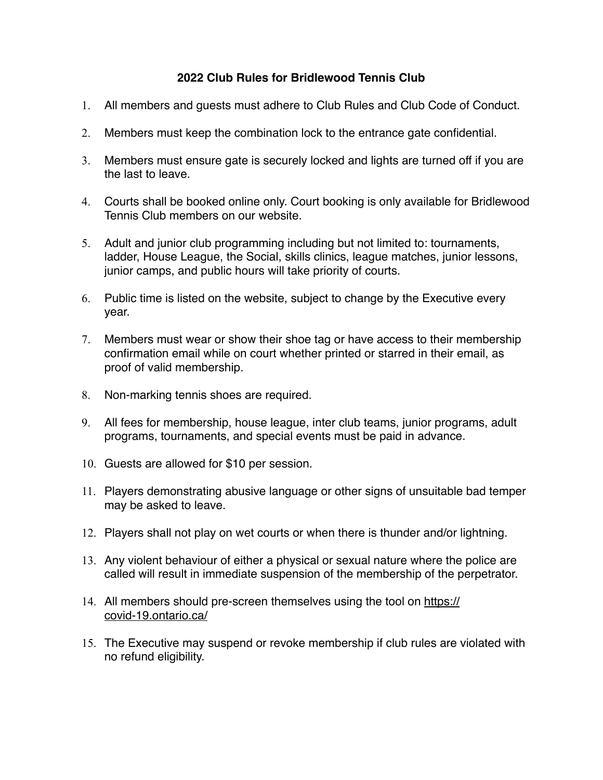## **2022 Club Rules for Bridlewood Tennis Club**

- 1. All members and guests must adhere to Club Rules and Club Code of Conduct.
- 2. Members must keep the combination lock to the entrance gate confidential.
- 3. Members must ensure gate is securely locked and lights are turned off if you are the last to leave.
- 4. Courts shall be booked online only. Court booking is only available for Bridlewood Tennis Club members on our website.
- 5. Adult and junior club programming including but not limited to: tournaments, ladder, House League, the Social, skills clinics, league matches, junior lessons, junior camps, and public hours will take priority of courts.
- 6. Public time is listed on the website, subject to change by the Executive every year.
- 7. Members must wear or show their shoe tag or have access to their membership confirmation email while on court whether printed or starred in their email, as proof of valid membership.
- 8. Non-marking tennis shoes are required.
- 9. All fees for membership, house league, inter club teams, junior programs, adult programs, tournaments, and special events must be paid in advance.
- 10. Guests are allowed for \$10 per session.
- 11. Players demonstrating abusive language or other signs of unsuitable bad temper may be asked to leave.
- 12. Players shall not play on wet courts or when there is thunder and/or lightning.
- 13. Any violent behaviour of either a physical or sexual nature where the police are called will result in immediate suspension of the membership of the perpetrator.
- 14. All members should pre-screen themselves using the tool on [https://](https://covid-19.ontario.ca/) [covid-19.ontario.ca/](https://covid-19.ontario.ca/)
- 15. The Executive may suspend or revoke membership if club rules are violated with no refund eligibility.